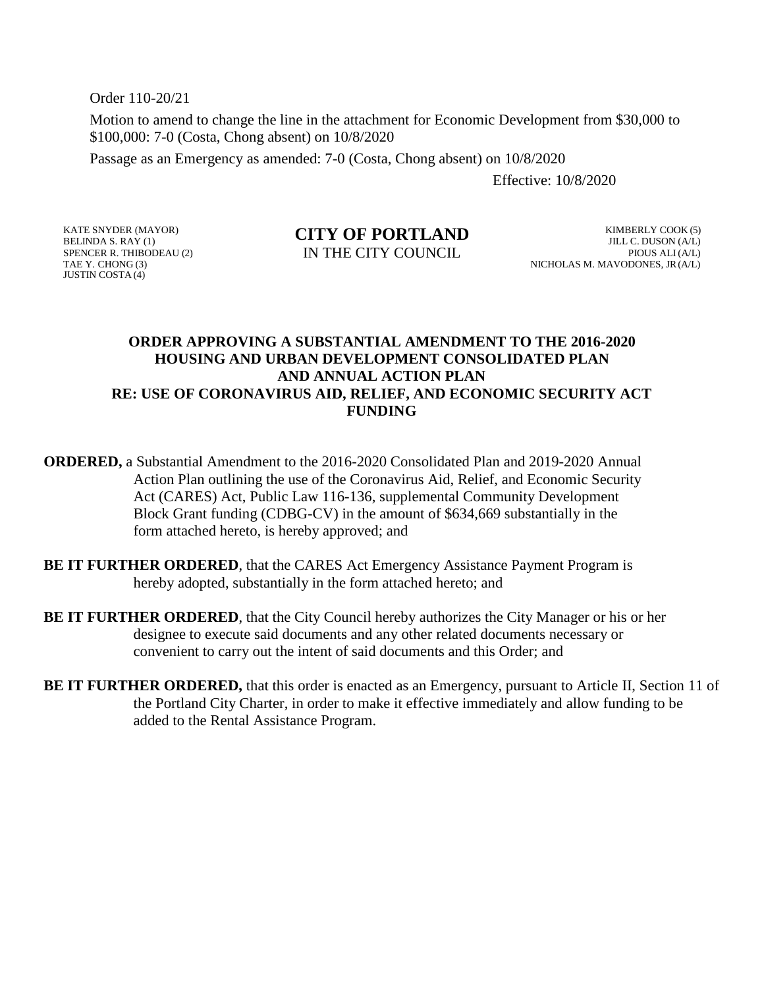Order 110-20/21

Motion to amend to change the line in the attachment for Economic Development from \$30,000 to \$100,000: 7-0 (Costa, Chong absent) on 10/8/2020

Passage as an Emergency as amended: 7-0 (Costa, Chong absent) on 10/8/2020

Effective: 10/8/2020

## **CITY OF PORTLAND**

BELINDA S. RAY (1) SPENCER R. THIBODEAU (2) TAE Y. CHONG (3) JUSTIN COSTA (4)

KATE SNYDER (MAYOR)

IN THE CITY COUNCIL

KIMBERLY COOK (5) JILL C. DUSON (A/L) PIOUS ALI (A/L) NICHOLAS M. MAVODONES, JR(A/L)

## **ORDER APPROVING A SUBSTANTIAL AMENDMENT TO THE 2016-2020 HOUSING AND URBAN DEVELOPMENT CONSOLIDATED PLAN AND ANNUAL ACTION PLAN RE: USE OF CORONAVIRUS AID, RELIEF, AND ECONOMIC SECURITY ACT FUNDING**

**ORDERED,** a Substantial Amendment to the 2016-2020 Consolidated Plan and 2019-2020 Annual Action Plan outlining the use of the Coronavirus Aid, Relief, and Economic Security Act (CARES) Act, Public Law 116-136, supplemental Community Development Block Grant funding (CDBG-CV) in the amount of \$634,669 substantially in the form attached hereto, is hereby approved; and

- **BE IT FURTHER ORDERED, that the CARES Act Emergency Assistance Payment Program is** hereby adopted, substantially in the form attached hereto; and
- **BE IT FURTHER ORDERED**, that the City Council hereby authorizes the City Manager or his or her designee to execute said documents and any other related documents necessary or convenient to carry out the intent of said documents and this Order; and
- **BE IT FURTHER ORDERED,** that this order is enacted as an Emergency, pursuant to Article II, Section 11 of the Portland City Charter, in order to make it effective immediately and allow funding to be added to the Rental Assistance Program.